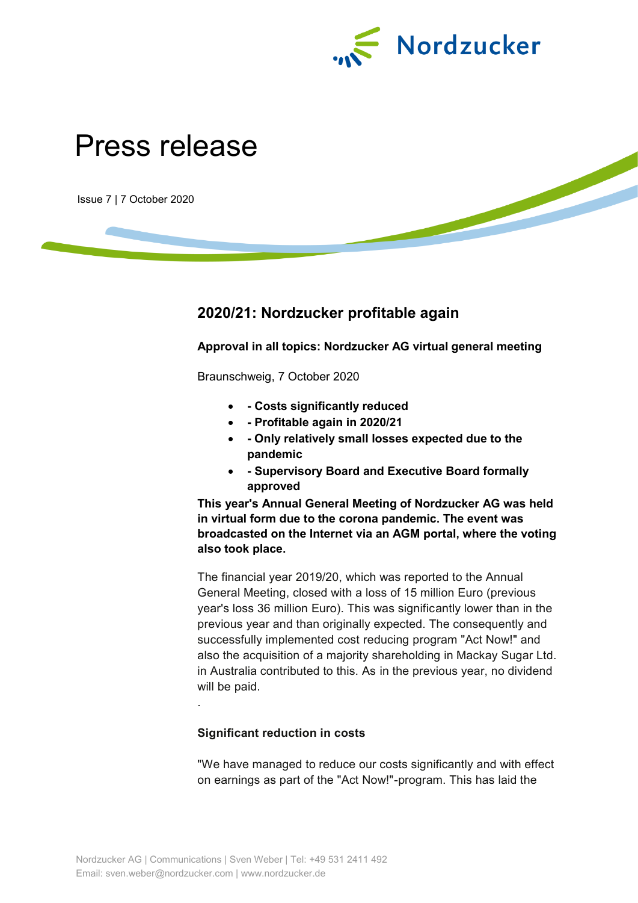

# Press release

Issue 7 | 7 October 2020

# **2020/21: Nordzucker profitable again**

**Approval in all topics: Nordzucker AG virtual general meeting**

Braunschweig, 7 October 2020

- **- Costs significantly reduced**
- **- Profitable again in 2020/21**
- **- Only relatively small losses expected due to the pandemic**
- **- Supervisory Board and Executive Board formally approved**

**This year's Annual General Meeting of Nordzucker AG was held in virtual form due to the corona pandemic. The event was broadcasted on the Internet via an AGM portal, where the voting also took place.** 

The financial year 2019/20, which was reported to the Annual General Meeting, closed with a loss of 15 million Euro (previous year's loss 36 million Euro). This was significantly lower than in the previous year and than originally expected. The consequently and successfully implemented cost reducing program "Act Now!" and also the acquisition of a majority shareholding in Mackay Sugar Ltd. in Australia contributed to this. As in the previous year, no dividend will be paid.

**Significant reduction in costs**

"We have managed to reduce our costs significantly and with effect on earnings as part of the "Act Now!"-program. This has laid the

.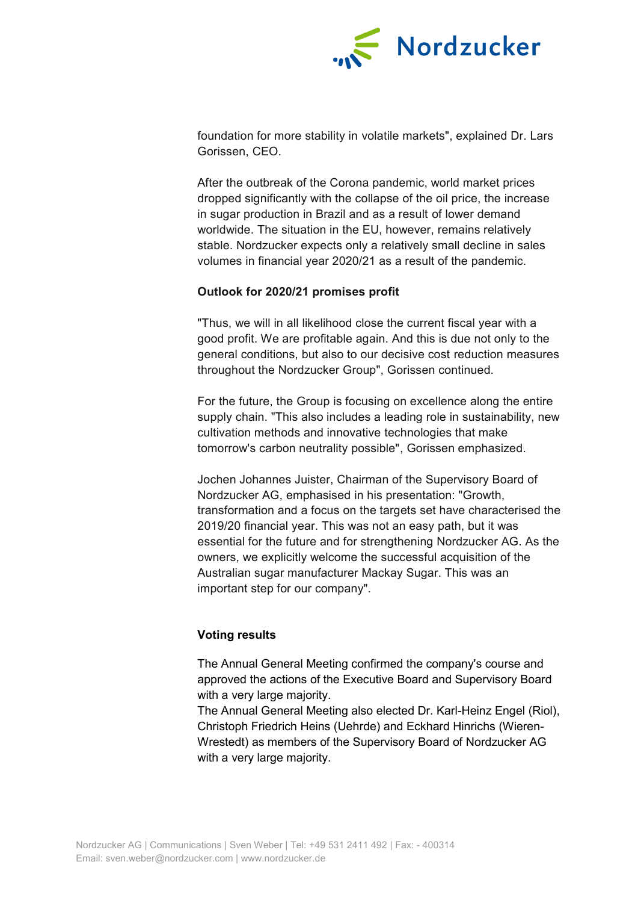

foundation for more stability in volatile markets", explained Dr. Lars Gorissen, CEO.

After the outbreak of the Corona pandemic, world market prices dropped significantly with the collapse of the oil price, the increase in sugar production in Brazil and as a result of lower demand worldwide. The situation in the EU, however, remains relatively stable. Nordzucker expects only a relatively small decline in sales volumes in financial year 2020/21 as a result of the pandemic.

### **Outlook for 2020/21 promises profit**

"Thus, we will in all likelihood close the current fiscal year with a good profit. We are profitable again. And this is due not only to the general conditions, but also to our decisive cost reduction measures throughout the Nordzucker Group", Gorissen continued.

For the future, the Group is focusing on excellence along the entire supply chain. "This also includes a leading role in sustainability, new cultivation methods and innovative technologies that make tomorrow's carbon neutrality possible", Gorissen emphasized.

Jochen Johannes Juister, Chairman of the Supervisory Board of Nordzucker AG, emphasised in his presentation: "Growth, transformation and a focus on the targets set have characterised the 2019/20 financial year. This was not an easy path, but it was essential for the future and for strengthening Nordzucker AG. As the owners, we explicitly welcome the successful acquisition of the Australian sugar manufacturer Mackay Sugar. This was an important step for our company".

#### **Voting results**

The Annual General Meeting confirmed the company's course and approved the actions of the Executive Board and Supervisory Board with a very large majority.

The Annual General Meeting also elected Dr. Karl-Heinz Engel (Riol), Christoph Friedrich Heins (Uehrde) and Eckhard Hinrichs (Wieren-Wrestedt) as members of the Supervisory Board of Nordzucker AG with a very large majority.